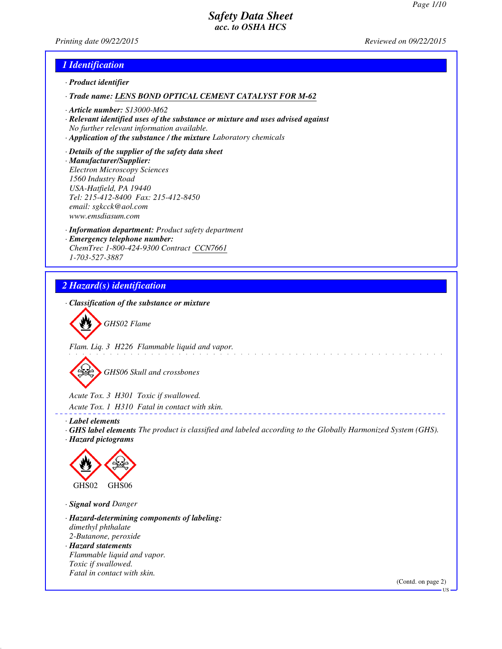*Printing date 09/22/2015 Reviewed on 09/22/2015*

### *1 Identification*

- *· Product identifier*
- *· Trade name: LENS BOND OPTICAL CEMENT CATALYST FOR M-62*
- *· Article number: S13000-M62*
- *· Relevant identified uses of the substance or mixture and uses advised against No further relevant information available.*
- *· Application of the substance / the mixture Laboratory chemicals*
- *· Details of the supplier of the safety data sheet · Manufacturer/Supplier: Electron Microscopy Sciences 1560 Industry Road USA-Hatfield, PA 19440 Tel: 215-412-8400 Fax: 215-412-8450 email: sgkcck@aol.com www.emsdiasum.com*
- *· Information department: Product safety department · Emergency telephone number: ChemTrec 1-800-424-9300 Contract CCN7661 1-703-527-3887*

## *2 Hazard(s) identification*

*· Classification of the substance or mixture*



*Flam. Liq. 3 H226 Flammable liquid and vapor.*

*GHS06 Skull and crossbones*

*Acute Tox. 3 H301 Toxic if swallowed.*

*Acute Tox. 1 H310 Fatal in contact with skin.*

- *· Label elements*
- *· GHS label elements The product is classified and labeled according to the Globally Harmonized System (GHS). · Hazard pictograms*



*· Signal word Danger*

- *· Hazard-determining components of labeling: dimethyl phthalate 2-Butanone, peroxide · Hazard statements Flammable liquid and vapor.*
- *Toxic if swallowed. Fatal in contact with skin.*

(Contd. on page 2)

US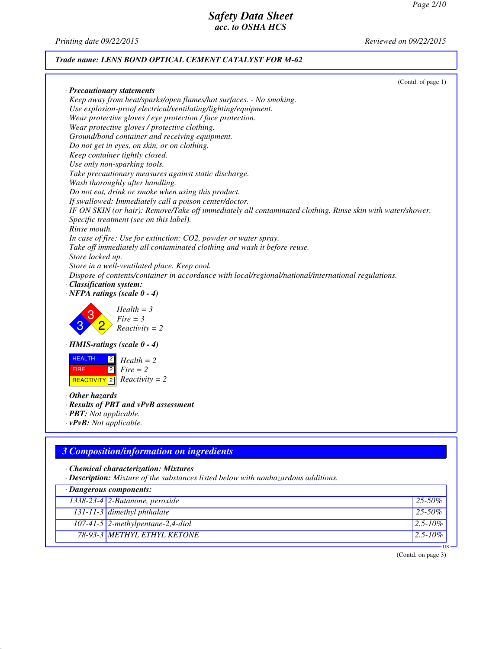*Printing date 09/22/2015 Reviewed on 09/22/2015*

### *Trade name: LENS BOND OPTICAL CEMENT CATALYST FOR M-62*

| (Contd. of page 1)                                                                                         |
|------------------------------------------------------------------------------------------------------------|
| Precautionary statements<br>Keep away from heat/sparks/open flames/hot surfaces. - No smoking.             |
| Use explosion-proof electrical/ventilating/lighting/equipment.                                             |
| Wear protective gloves / eye protection / face protection.                                                 |
|                                                                                                            |
| Wear protective gloves / protective clothing.                                                              |
| Ground/bond container and receiving equipment.                                                             |
| Do not get in eyes, on skin, or on clothing.                                                               |
| Keep container tightly closed.                                                                             |
| Use only non-sparking tools.                                                                               |
| Take precautionary measures against static discharge.                                                      |
| Wash thoroughly after handling.                                                                            |
| Do not eat, drink or smoke when using this product.                                                        |
| If swallowed: Immediately call a poison center/doctor.                                                     |
| IF ON SKIN (or hair): Remove/Take off immediately all contaminated clothing. Rinse skin with water/shower. |
| Specific treatment (see on this label).                                                                    |
| Rinse mouth.                                                                                               |
| In case of fire: Use for extinction: CO2, powder or water spray.                                           |
| Take off immediately all contaminated clothing and wash it before reuse.                                   |
| Store locked up.                                                                                           |
| Store in a well-ventilated place. Keep cool.                                                               |
| Dispose of contents/container in accordance with local/regional/national/international regulations.        |
| <b>Classification system:</b>                                                                              |
| $\cdot$ NFPA ratings (scale $0 - 4$ )                                                                      |
| $Health = 3$<br>$Fire = 3$<br>$Reactivity = 2$                                                             |
| $\cdot$ HMIS-ratings (scale 0 - 4)                                                                         |

| <b>HEALTH</b> | $\mathbf{2}$ Health = 2            |
|---------------|------------------------------------|
| <b>FIRE</b>   | $ 2 $ Fire = 2                     |
|               | $\text{REACTIVITY}$ Reactivity = 2 |

*· Other hazards*

- *· Results of PBT and vPvB assessment*
- *· PBT: Not applicable.*
- *· vPvB: Not applicable.*

### *3 Composition/information on ingredients*

*· Chemical characterization: Mixtures*

*· Description: Mixture of the substances listed below with nonhazardous additions.*

| $\cdot$ Dangerous components:           |              |
|-----------------------------------------|--------------|
| $\sqrt{1338-23-4}$ 2-Butanone, peroxide | $25 - 50\%$  |
| $131 - 11 - 3$ dimethyl phthalate       | $25 - 50\%$  |
| $107-41-5$ 2-methylpentane-2,4-diol     | $2.5 - 10\%$ |
| 78-93-3 METHYL ETHYL KETONE             | $2.5 - 10\%$ |
|                                         |              |

(Contd. on page 3)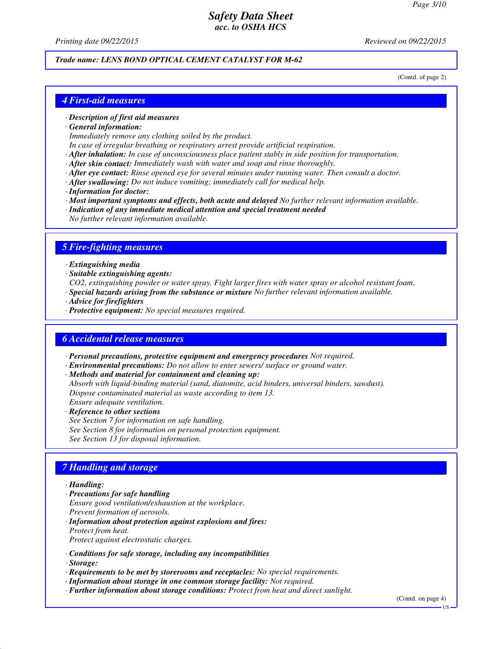*Printing date 09/22/2015 Reviewed on 09/22/2015*

## *Trade name: LENS BOND OPTICAL CEMENT CATALYST FOR M-62*

(Contd. of page 2)

### *4 First-aid measures*

#### *· Description of first aid measures*

*· General information:*

*Immediately remove any clothing soiled by the product.*

- *In case of irregular breathing or respiratory arrest provide artificial respiration.*
- *· After inhalation: In case of unconsciousness place patient stably in side position for transportation.*
- *· After skin contact: Immediately wash with water and soap and rinse thoroughly.*
- *· After eye contact: Rinse opened eye for several minutes under running water. Then consult a doctor.*
- *· After swallowing: Do not induce vomiting; immediately call for medical help.*
- *· Information for doctor:*
- *· Most important symptoms and effects, both acute and delayed No further relevant information available.*
- *· Indication of any immediate medical attention and special treatment needed*
- *No further relevant information available.*

#### *5 Fire-fighting measures*

- *· Extinguishing media*
- *· Suitable extinguishing agents:*
- *CO2, extinguishing powder or water spray. Fight larger fires with water spray or alcohol resistant foam.*
- *· Special hazards arising from the substance or mixture No further relevant information available.*
- *· Advice for firefighters*
- *· Protective equipment: No special measures required.*

### *6 Accidental release measures*

- *· Personal precautions, protective equipment and emergency procedures Not required.*
- *· Environmental precautions: Do not allow to enter sewers/ surface or ground water.*
- *· Methods and material for containment and cleaning up:*
- *Absorb with liquid-binding material (sand, diatomite, acid binders, universal binders, sawdust). Dispose contaminated material as waste according to item 13.*
- *Ensure adequate ventilation. · Reference to other sections*

*See Section 7 for information on safe handling.*

*See Section 8 for information on personal protection equipment.*

*See Section 13 for disposal information.*

### *7 Handling and storage*

#### *· Handling:*

- *· Precautions for safe handling*
- *Ensure good ventilation/exhaustion at the workplace.*
- *Prevent formation of aerosols.*
- *· Information about protection against explosions and fires: Protect from heat.*

*Protect against electrostatic charges.*

- *· Conditions for safe storage, including any incompatibilities*
- *· Storage:*
- *· Requirements to be met by storerooms and receptacles: No special requirements.*
- *· Information about storage in one common storage facility: Not required.*
- *· Further information about storage conditions: Protect from heat and direct sunlight.*

(Contd. on page 4)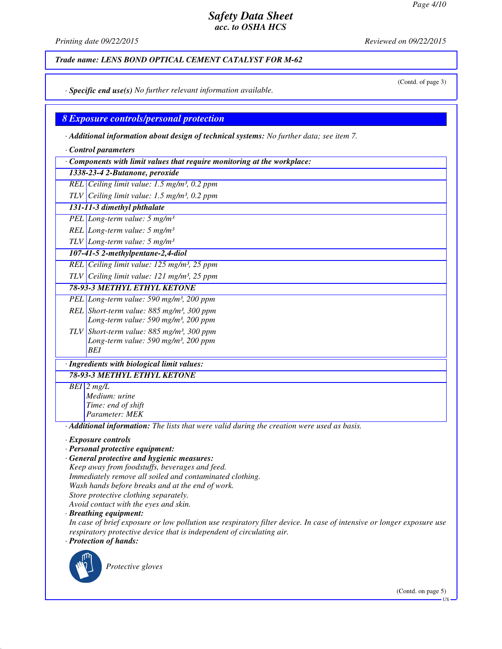*Printing date 09/22/2015 Reviewed on 09/22/2015*

*Trade name: LENS BOND OPTICAL CEMENT CATALYST FOR M-62*

(Contd. of page 3)

*· Specific end use(s) No further relevant information available.*

### *8 Exposure controls/personal protection*

*· Additional information about design of technical systems: No further data; see item 7.*

- *· Control parameters*
- *· Components with limit values that require monitoring at the workplace:*

*1338-23-4 2-Butanone, peroxide*

*REL Ceiling limit value: 1.5 mg/m³, 0.2 ppm*

*TLV Ceiling limit value: 1.5 mg/m³, 0.2 ppm*

*131-11-3 dimethyl phthalate*

*PEL Long-term value: 5 mg/m³*

*REL Long-term value: 5 mg/m³*

*TLV Long-term value: 5 mg/m³*

*107-41-5 2-methylpentane-2,4-diol*

*REL Ceiling limit value: 125 mg/m³, 25 ppm*

*TLV Ceiling limit value: 121 mg/m³, 25 ppm*

*78-93-3 METHYL ETHYL KETONE*

- *PEL Long-term value: 590 mg/m³, 200 ppm REL Short-term value: 885 mg/m³, 300 ppm*
	- *Long-term value: 590 mg/m³, 200 ppm*
- *TLV Short-term value: 885 mg/m³, 300 ppm Long-term value: 590 mg/m³, 200 ppm BEI*

# *· Ingredients with biological limit values:*

*78-93-3 METHYL ETHYL KETONE*

*BEI 2 mg/L Medium: urine Time: end of shift*

*Parameter: MEK*

*· Additional information: The lists that were valid during the creation were used as basis.*

*· Exposure controls*

- *· Personal protective equipment:*
- *· General protective and hygienic measures: Keep away from foodstuffs, beverages and feed. Immediately remove all soiled and contaminated clothing.*
- *Wash hands before breaks and at the end of work.*
- *Store protective clothing separately.*

*Avoid contact with the eyes and skin.*

*· Breathing equipment:*

*In case of brief exposure or low pollution use respiratory filter device. In case of intensive or longer exposure use respiratory protective device that is independent of circulating air. · Protection of hands:*



*Protective gloves*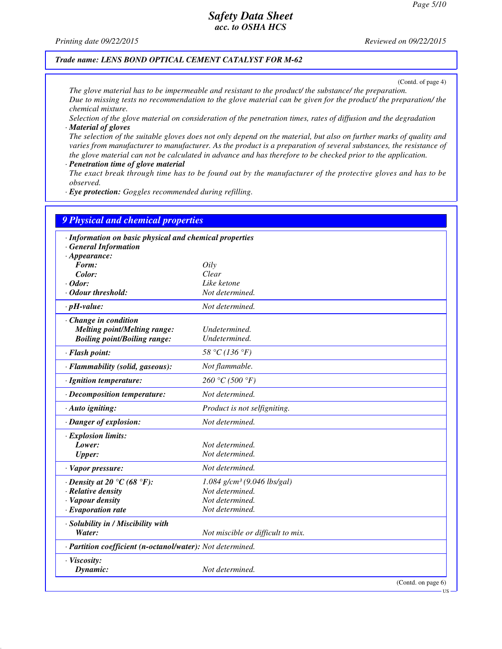*Printing date 09/22/2015 Reviewed on 09/22/2015*

#### *Trade name: LENS BOND OPTICAL CEMENT CATALYST FOR M-62*

(Contd. of page 4)

*The glove material has to be impermeable and resistant to the product/ the substance/ the preparation. Due to missing tests no recommendation to the glove material can be given for the product/ the preparation/ the chemical mixture.*

*Selection of the glove material on consideration of the penetration times, rates of diffusion and the degradation · Material of gloves*

*The selection of the suitable gloves does not only depend on the material, but also on further marks of quality and varies from manufacturer to manufacturer. As the product is a preparation of several substances, the resistance of the glove material can not be calculated in advance and has therefore to be checked prior to the application.*

*· Penetration time of glove material*

*The exact break through time has to be found out by the manufacturer of the protective gloves and has to be observed.*

*· Eye protection: Goggles recommended during refilling.*

| <b>9 Physical and chemical properties</b>                  |                                           |                       |
|------------------------------------------------------------|-------------------------------------------|-----------------------|
| · Information on basic physical and chemical properties    |                                           |                       |
| · General Information                                      |                                           |                       |
| $\cdot$ Appearance:                                        |                                           |                       |
| Form:                                                      | Oily                                      |                       |
| Color:                                                     | Clear                                     |                       |
| $\cdot$ Odor:                                              | Like ketone                               |                       |
| Odour threshold:                                           | Not determined.                           |                       |
| $\cdot$ pH-value:                                          | Not determined.                           |                       |
| $\cdot$ Change in condition                                |                                           |                       |
| <b>Melting point/Melting range:</b>                        | Undetermined.                             |                       |
| <b>Boiling point/Boiling range:</b>                        | Undetermined.                             |                       |
| · Flash point:                                             | 58 °C (136 °F)                            |                       |
| · Flammability (solid, gaseous):                           | Not flammable.                            |                       |
| · Ignition temperature:                                    | 260 °C (500 °F)                           |                       |
| · Decomposition temperature:                               | Not determined.                           |                       |
| · Auto igniting:                                           | Product is not selfigniting.              |                       |
| · Danger of explosion:                                     | Not determined.                           |                       |
| · Explosion limits:                                        |                                           |                       |
| Lower:                                                     | Not determined.                           |                       |
| <b>Upper:</b>                                              | Not determined.                           |                       |
| · Vapor pressure:                                          | Not determined.                           |                       |
| $\cdot$ Density at 20 °C (68 °F):                          | $1.084$ g/cm <sup>3</sup> (9.046 lbs/gal) |                       |
| $\cdot$ Relative density                                   | Not determined.                           |                       |
| · Vapour density                                           | Not determined.                           |                       |
| $\cdot$ Evaporation rate                                   | Not determined.                           |                       |
| · Solubility in / Miscibility with                         |                                           |                       |
| Water:                                                     | Not miscible or difficult to mix.         |                       |
| · Partition coefficient (n-octanol/water): Not determined. |                                           |                       |
| · Viscosity:                                               |                                           |                       |
| Dynamic:                                                   | Not determined.                           |                       |
|                                                            |                                           | (Contd. on page $6$ ) |

US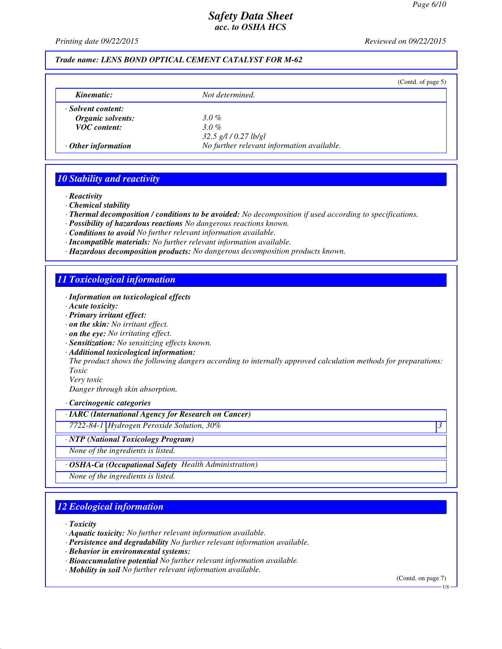*Printing date 09/22/2015 Reviewed on 09/22/2015*

## *Trade name: LENS BOND OPTICAL CEMENT CATALYST FOR M-62*

|                           |                                            | (Contd. of page $5$ ) |
|---------------------------|--------------------------------------------|-----------------------|
| Kinematic:                | Not determined.                            |                       |
| · Solvent content:        |                                            |                       |
| Organic solvents:         | 3.0 %                                      |                       |
| <b>VOC</b> content:       | $3.0\%$                                    |                       |
|                           | $32.5$ g/l / 0.27 lb/gl                    |                       |
| $\cdot$ Other information | No further relevant information available. |                       |

### *10 Stability and reactivity*

*· Reactivity*

*· Chemical stability*

*· Thermal decomposition / conditions to be avoided: No decomposition if used according to specifications.*

- *· Possibility of hazardous reactions No dangerous reactions known.*
- *· Conditions to avoid No further relevant information available.*
- *· Incompatible materials: No further relevant information available.*
- *· Hazardous decomposition products: No dangerous decomposition products known.*

### *11 Toxicological information*

- *· Information on toxicological effects*
- *· Acute toxicity:*
- *· Primary irritant effect:*
- *· on the skin: No irritant effect.*
- *· on the eye: No irritating effect.*
- *· Sensitization: No sensitizing effects known.*
- *· Additional toxicological information:*

*The product shows the following dangers according to internally approved calculation methods for preparations: Toxic*

*Very toxic Danger through skin absorption.*

*· Carcinogenic categories*

*· IARC (International Agency for Research on Cancer)*

*7722-84-1 Hydrogen Peroxide Solution, 30% 3* 

*· NTP (National Toxicology Program)*

*None of the ingredients is listed.*

*· OSHA-Ca (Occupational Safety Health Administration)*

*None of the ingredients is listed.*

## *12 Ecological information*

*· Toxicity*

- *· Aquatic toxicity: No further relevant information available.*
- *· Persistence and degradability No further relevant information available.*
- *· Behavior in environmental systems:*
- *· Bioaccumulative potential No further relevant information available.*
- *· Mobility in soil No further relevant information available.*

(Contd. on page 7)

US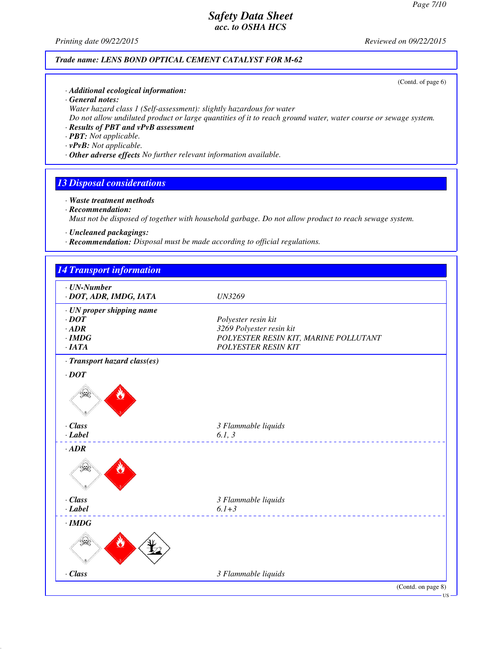*Printing date 09/22/2015 Reviewed on 09/22/2015*

### *Trade name: LENS BOND OPTICAL CEMENT CATALYST FOR M-62*

(Contd. of page 6)

- *· Additional ecological information:*
- *· General notes:*
- *Water hazard class 1 (Self-assessment): slightly hazardous for water*
- *Do not allow undiluted product or large quantities of it to reach ground water, water course or sewage system.*
- *· Results of PBT and vPvB assessment*
- *· PBT: Not applicable.*
- *· vPvB: Not applicable.*
- *· Other adverse effects No further relevant information available.*

### *13 Disposal considerations*

- *· Waste treatment methods · Recommendation: Must not be disposed of together with household garbage. Do not allow product to reach sewage system.*
- *· Uncleaned packagings:*
- *· Recommendation: Disposal must be made according to official regulations.*

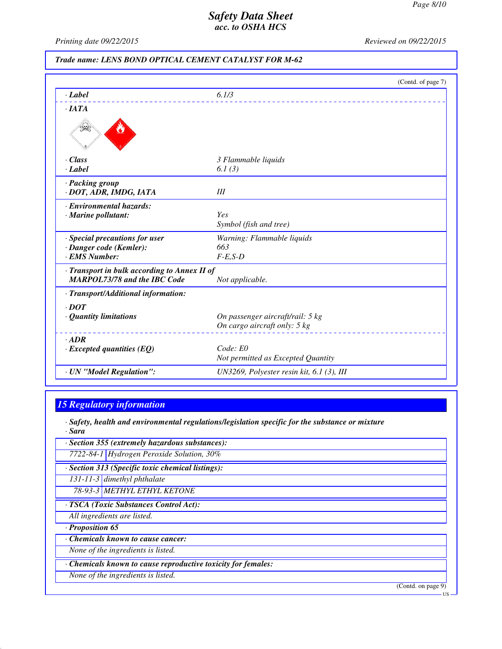*Printing date 09/22/2015 Reviewed on 09/22/2015*

### *Trade name: LENS BOND OPTICAL CEMENT CATALYST FOR M-62*

|                                              | (Contd. of page 7)                          |  |
|----------------------------------------------|---------------------------------------------|--|
| $\cdot$ Label                                | 6.1/3                                       |  |
| $\cdot$ IATA                                 |                                             |  |
|                                              |                                             |  |
| · Class                                      | 3 Flammable liquids                         |  |
| · Label                                      | 6.1(3)                                      |  |
| · Packing group                              |                                             |  |
| · DOT, ADR, IMDG, IATA                       | III                                         |  |
| · Environmental hazards:                     |                                             |  |
| · Marine pollutant:                          | Yes                                         |  |
|                                              | Symbol (fish and tree)                      |  |
| · Special precautions for user               | Warning: Flammable liquids                  |  |
| · Danger code (Kemler):                      | 663                                         |  |
| · EMS Number:                                | $F-E,S-D$                                   |  |
| · Transport in bulk according to Annex II of |                                             |  |
| <b>MARPOL73/78 and the IBC Code</b>          | Not applicable.                             |  |
| · Transport/Additional information:          |                                             |  |
| $\cdot$ DOT                                  |                                             |  |
| $\cdot$ Quantity limitations                 | On passenger aircraft/rail: 5 kg            |  |
|                                              | On cargo aircraft only: 5 kg                |  |
| $-ADR$                                       |                                             |  |
| $\cdot$ Excepted quantities (EQ)             | Code: E0                                    |  |
|                                              | Not permitted as Excepted Quantity          |  |
| · UN "Model Regulation":                     | UN3269, Polyester resin kit, $6.1$ (3), III |  |
|                                              |                                             |  |

## *15 Regulatory information*

*· Safety, health and environmental regulations/legislation specific for the substance or mixture · Sara*

*· Section 355 (extremely hazardous substances):*

*7722-84-1 Hydrogen Peroxide Solution, 30%*

*· Section 313 (Specific toxic chemical listings):*

*131-11-3 dimethyl phthalate*

*78-93-3 METHYL ETHYL KETONE*

*· TSCA (Toxic Substances Control Act):*

*All ingredients are listed.*

*· Proposition 65*

*· Chemicals known to cause cancer:*

*None of the ingredients is listed.*

*· Chemicals known to cause reproductive toxicity for females:*

*None of the ingredients is listed.*

(Contd. on page 9)

US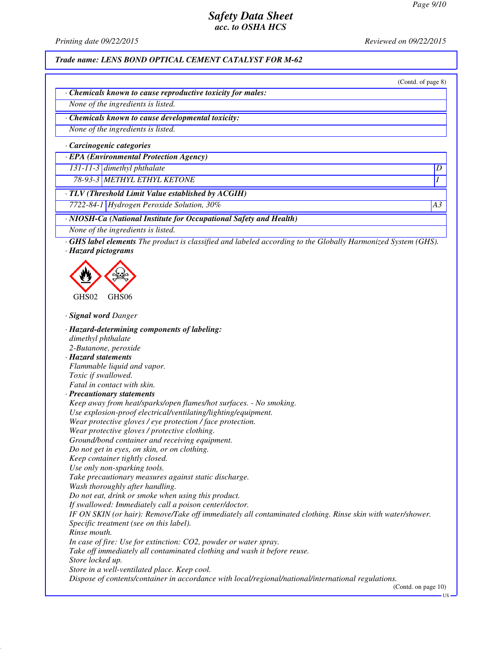*Printing date 09/22/2015 Reviewed on 09/22/2015*

*Trade name: LENS BOND OPTICAL CEMENT CATALYST FOR M-62*

(Contd. of page 8)

*· Chemicals known to cause reproductive toxicity for males:*

*None of the ingredients is listed.*

*· Chemicals known to cause developmental toxicity:*

*None of the ingredients is listed.*

*· Carcinogenic categories*

*· EPA (Environmental Protection Agency)*

*131-11-3 dimethyl phthalate D* 

*78-93-3 METHYL ETHYL KETONE I* 

*· TLV (Threshold Limit Value established by ACGIH)*

*7722-84-1 Hydrogen Peroxide Solution, 30% A3*

*· NIOSH-Ca (National Institute for Occupational Safety and Health)*

*None of the ingredients is listed.*

*· GHS label elements The product is classified and labeled according to the Globally Harmonized System (GHS). · Hazard pictograms*



*· Signal word Danger*

*· Hazard-determining components of labeling: dimethyl phthalate 2-Butanone, peroxide · Hazard statements Flammable liquid and vapor. Toxic if swallowed. Fatal in contact with skin. · Precautionary statements Keep away from heat/sparks/open flames/hot surfaces. - No smoking. Use explosion-proof electrical/ventilating/lighting/equipment. Wear protective gloves / eye protection / face protection. Wear protective gloves / protective clothing. Ground/bond container and receiving equipment. Do not get in eyes, on skin, or on clothing. Keep container tightly closed. Use only non-sparking tools. Take precautionary measures against static discharge. Wash thoroughly after handling. Do not eat, drink or smoke when using this product. If swallowed: Immediately call a poison center/doctor. IF ON SKIN (or hair): Remove/Take off immediately all contaminated clothing. Rinse skin with water/shower. Specific treatment (see on this label). Rinse mouth. In case of fire: Use for extinction: CO2, powder or water spray. Take off immediately all contaminated clothing and wash it before reuse. Store locked up. Store in a well-ventilated place. Keep cool. Dispose of contents/container in accordance with local/regional/national/international regulations.* (Contd. on page 10)